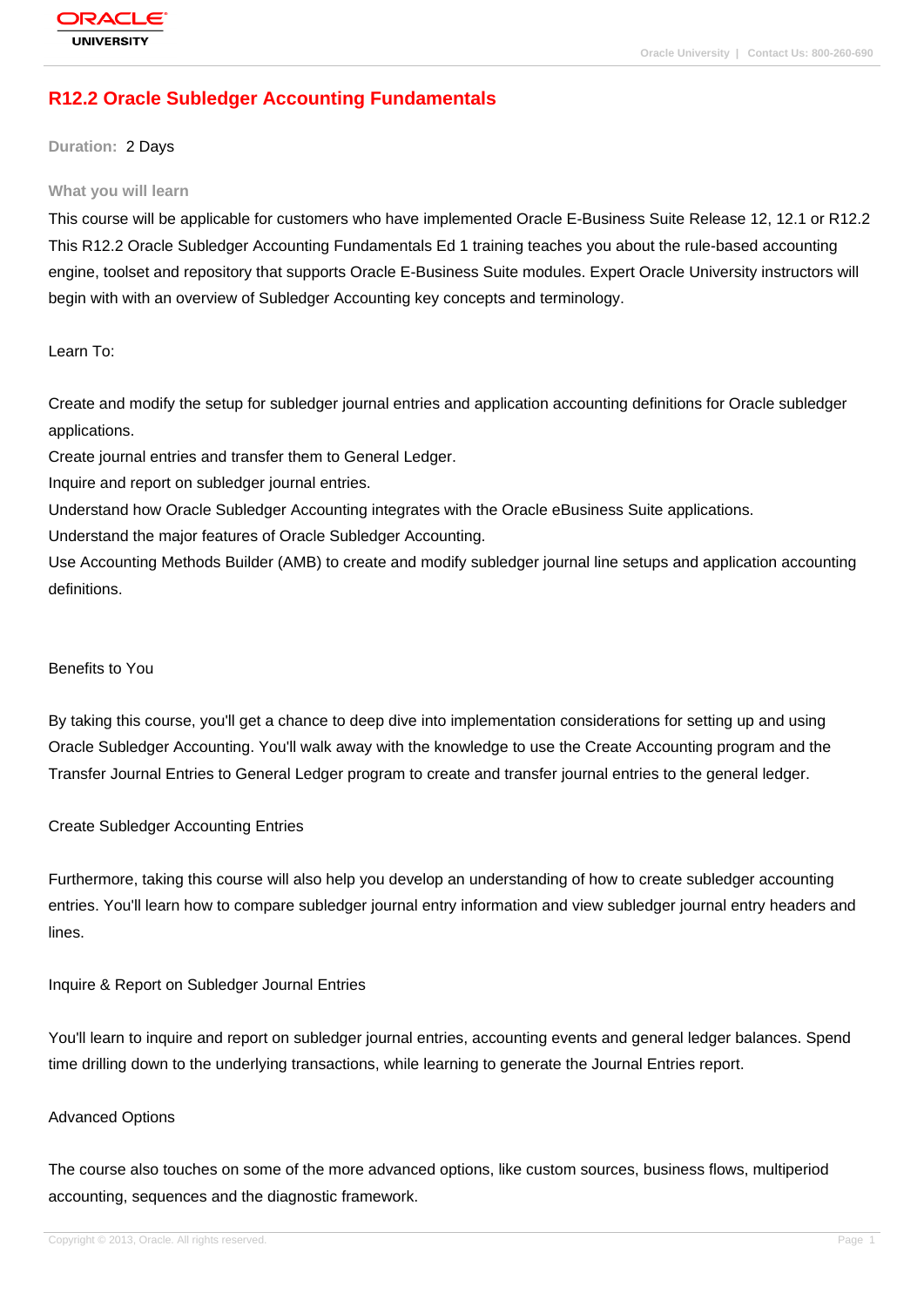# **[R12.2 Oracle S](http://education.oracle.com/pls/web_prod-plq-dad/db_pages.getpage?page_id=3)ubledger Accounting Fundamentals**

**Duration:** 2 Days

#### **What you will learn**

This course will be applicable for customers who have implemented Oracle E-Business Suite Release 12, 12.1 or R12.2 This R12.2 Oracle Subledger Accounting Fundamentals Ed 1 training teaches you about the rule-based accounting engine, toolset and repository that supports Oracle E-Business Suite modules. Expert Oracle University instructors will begin with with an overview of Subledger Accounting key concepts and terminology.

Learn To:

Create and modify the setup for subledger journal entries and application accounting definitions for Oracle subledger applications.

Create journal entries and transfer them to General Ledger.

Inquire and report on subledger journal entries.

Understand how Oracle Subledger Accounting integrates with the Oracle eBusiness Suite applications.

Understand the major features of Oracle Subledger Accounting.

Use Accounting Methods Builder (AMB) to create and modify subledger journal line setups and application accounting definitions.

#### Benefits to You

By taking this course, you'll get a chance to deep dive into implementation considerations for setting up and using Oracle Subledger Accounting. You'll walk away with the knowledge to use the Create Accounting program and the Transfer Journal Entries to General Ledger program to create and transfer journal entries to the general ledger.

### Create Subledger Accounting Entries

Furthermore, taking this course will also help you develop an understanding of how to create subledger accounting entries. You'll learn how to compare subledger journal entry information and view subledger journal entry headers and lines.

Inquire & Report on Subledger Journal Entries

You'll learn to inquire and report on subledger journal entries, accounting events and general ledger balances. Spend time drilling down to the underlying transactions, while learning to generate the Journal Entries report.

### Advanced Options

The course also touches on some of the more advanced options, like custom sources, business flows, multiperiod accounting, sequences and the diagnostic framework.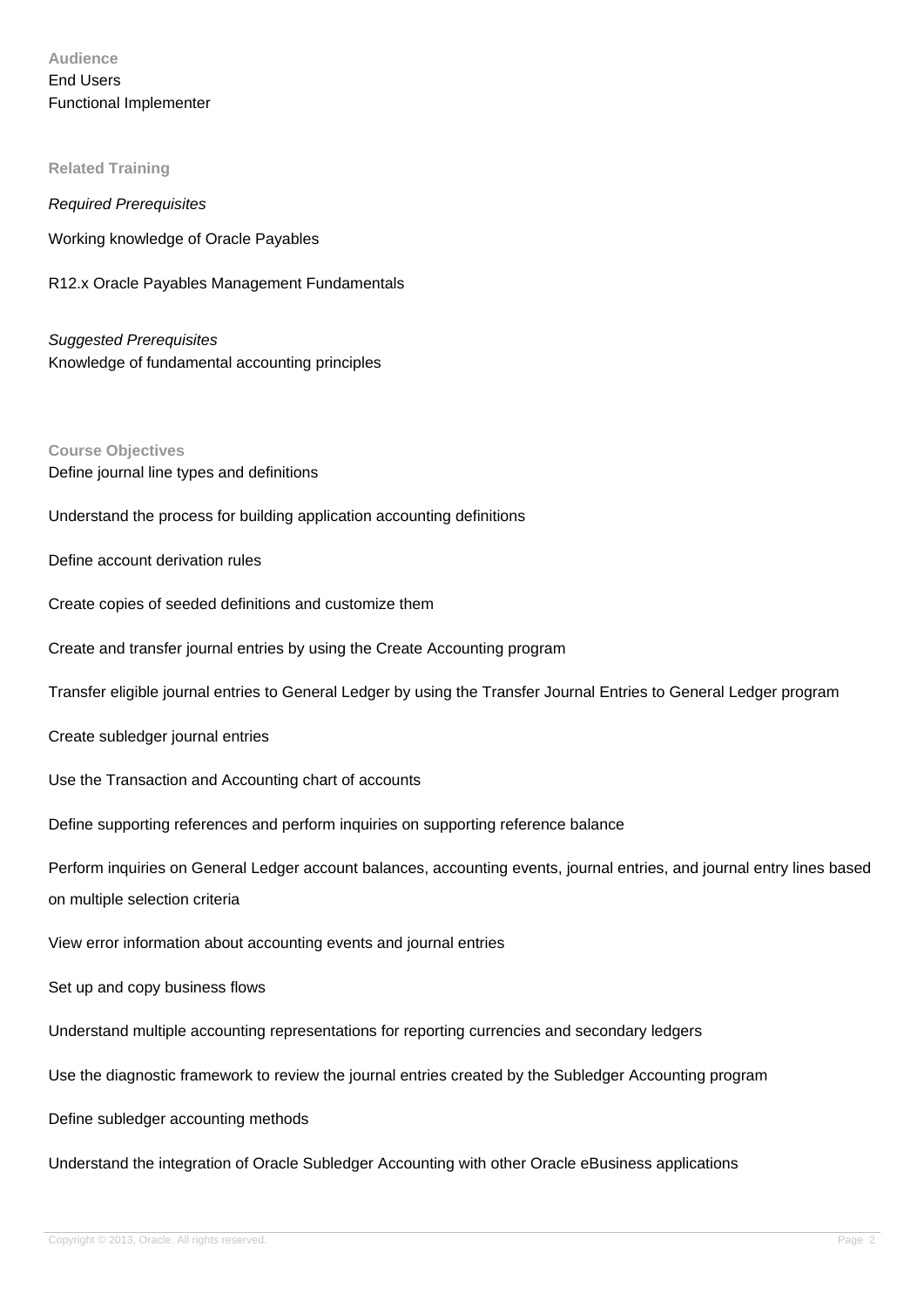**Audience** End Users Functional Implementer

### **Related Training**

Required Prerequisites Working knowledge of Oracle Payables

R12.x Oracle Payables Management Fundamentals

Suggested Prerequisites Knowledge of fundamental accounting principles

**Course Objectives** Define journal line types and definitions

Understand the process for building application accounting definitions

Define account derivation rules

Create copies of seeded definitions and customize them

Create and transfer journal entries by using the Create Accounting program

Transfer eligible journal entries to General Ledger by using the Transfer Journal Entries to General Ledger program

Create subledger journal entries

Use the Transaction and Accounting chart of accounts

Define supporting references and perform inquiries on supporting reference balance

Perform inquiries on General Ledger account balances, accounting events, journal entries, and journal entry lines based on multiple selection criteria

View error information about accounting events and journal entries

Set up and copy business flows

Understand multiple accounting representations for reporting currencies and secondary ledgers

Use the diagnostic framework to review the journal entries created by the Subledger Accounting program

Define subledger accounting methods

Understand the integration of Oracle Subledger Accounting with other Oracle eBusiness applications